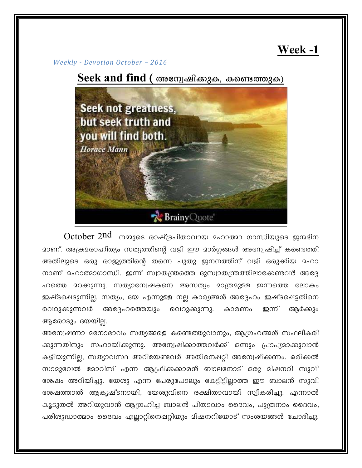## Week-1

Weekly - Devotion October - 2016

Seek and find ( അന്വേഷിക്കുക, കണ്ടെത്തുക)



 $October\ 2nd\_{max}$ ൈ രാഷ്ട്രപിതാവായ  $_{2}$ ഹാത്മാ ഗാന്ധിയുടെ ജന്മദിന മാണ്. അക്രമരാഹിത്യം സത്യത്തിന്റെ വഴി ഈ മാർഗ്ഗങ്ങൾ അന്വേഷിച്ച് കണ്ടെത്തി അതിലൂടെ ഒരു രാജ്യത്തിന്റെ തന്നെ പുതു ജനനത്തിന് വഴി ഒരുക്കിയ മഹാ നാണ് മഹാത്മാഗാന്ധി. ഇന്ന് സ്വാതന്ത്രത്തെ ദുസ്വാതന്ത്രത്തിലാക്കേണ്ടവർ അദ്ദേ ഹത്തെ മറക്കുന്നു. സത്യാന്വേഷകനെ അസത്യം മാത്രമുള്ള ഇന്നത്തെ ലോകം ഇഷ്ടപ്പെടുന്നില്ല. സത്യം, ദയ എന്നുള്ള നല്ല കാര്യങ്ങൾ അദ്ദേഹം ഇഷ്ടപ്പെട്ടതിനെ വെറുക്കുന്നവർ അദ്ദേഹത്തെയും വെറുക്കുന്നു. ആർക്കും കാരണം ഇന്ന് ആരോടും ദയയില്ല.

അന്വേഷണാ മനോഭാവം സത്യങ്ങളെ കണ്ടെത്തുവാനും, ആഗ്രഹങ്ങൾ സഫലീകരി ക്കുന്നതിനും സഹായിക്കുന്നു. അന്വേഷിക്കാത്തവർക്ക് ഒന്നും പ്രാപ്യമാക്കുവാൻ കഴിയുന്നില്ല, സത്യാവസ്ഥ അറിയേണ്ടവർ അതിനെപ്പറ്റി അന്വേഷിക്കണം. ഒരിക്കൽ സാമുവേൽ മോറിസ് എന്ന ആഫ്രിക്കക്കാരൻ ബാലനോട് ഒരു മിഷനറി സുവി ശേഷം അറിയിച്ചു. യേശു എന്ന പേരുപോലും കേട്ടിട്ടിലാത്ത ഈ ബാലൻ സുവി ശേഷത്താൽ ആകൃഷ്ടനായി, യേശുവിനെ രക്ഷിതാവായി സ്വീകരിച്ചു. എന്നാൽ കൂടുതൽ അറിയുവാൻ ആഗ്രഹിച്ച ബാലൻ പിതാവാം ദൈവം, പുത്രനാം ദൈവം, പരിശുദ്ധാത്മാം ദൈവം എല്ലാറ്റിനെഷറ്റിയും മിഷനറിയോട് സംശയങ്ങൾ ചോദിച്ചു.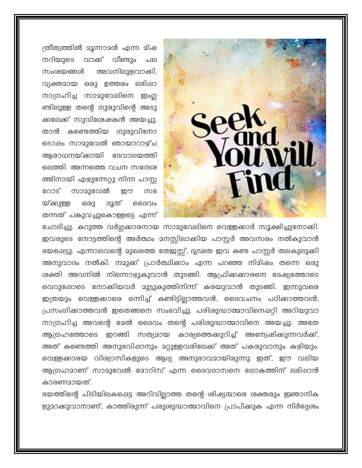

ത്രീത്വത്തിൽ മൂന്നാമൻ എന്ന മിഷ നറിയുടെ വാക്ക് വീണ്ടും പല അവനിലുളവാക്കി. സംശയങ്ങൾ വ്യക്തമായ ഒരു ഉത്തരം ലഭിഷാ നാഗ്രഹിച്ച സാമുവേലിനെ ഇംഗ്ല ണ്ടിലുള്ള തന്റെ ഗുരുവിന്റെ അടു ക്കലേക്ക് സുവിശേഷകൻ അയച്ചു. താൻ കണ്ടെത്തിയ ഗുരുവിനോ ടൊഷം സാമുവേൽ ഞായാറാഴ്ച ആരാധനയ്ക്കായി ദേവാലയത്തി ലെത്തി. അന്നത്തെ വചന സന്ദേശ ത്തിനായി എഴുന്നേറ്റു നിന്ന പാസ്റ്റ സാമുവേൽ റോട് றற സഭ യ്ക്കുള്ള ഒരു ദൂത് മെദവം തന്നത് പങ്കുവച്ചുകൊള്ളട്ടെ എന്ന്

ചോദിച്ചു. കറുത്ത വർഗ്ഗക്കാരനായ സാമുവേലിനെ വെള്ളക്കാർ സൂക്ഷിച്ചുനോക്കി. ഇവരുടെ നോട്ടത്തിന്റെ അർത്ഥം മനസ്സിലാക്കിയ പാസ്റ്റർ അവസരം നൽകുവാൻ ഭയപ്പെട്ടു. എന്നാലവന്റെ മുഖത്തെ തേജസ്റ്റ്, ദൃഢത ഇവ കണ്ട പാസ്റ്റർ തലകുലുക്കി അനുവാദം നൽകി. നമുക്ക് പ്രാർത്ഥിക്കാം എന്ന പറഞ്ഞ നിമിഷം തന്നെ ഒരു ശക്തി അവനിൽ നിന്നൊഴുകുവാൻ തുടങ്ങി. ആഫ്രിക്കകാരനെ ദേഷ്യത്തോടെ വെറുഷോടെ നോക്കിയവർ മുട്ടുകുത്തിനിന്ന് കരയുവാൻ തുടങ്ങി. ഇന്നുവരെ ഇത്രയും വെള്ളക്കാരെ ഒന്നിച്ച് കണ്ടിട്ടില്ലാത്തവൻ, ദൈവചനം പഠിക്കാത്തവൻ, പ്രസംഗിക്കാത്തവൻ ഇതെങ്ങനെ സംഭവിച്ചു. പരിശുദ്ധാത്മാവിനെപ്പറ്റി അറിയുവാ നാഗ്രഹിച്ച അവന്റെ മേൽ ദൈവം തന്റെ പരിശുദ്ധാത്മാവിനെ അയച്ചു. അതേ ആഗ്രഹത്തോടെ ഇറങ്ങി സത്യമായ കാര്യത്തെക്കുറിച്ച് അന്വേഷിക്കുന്നവർക്ക്, അത് കണ്ടെത്തി അനുഭവിഷാനും മറ്റുള്ളവരിലേക്ക് അത് പകരുവാനും കഴിയും. വെള്ളക്കാരയ വിശ്വാസികളുടെ ആദ്യ അനുഭാവമായിരുന്നു ഇത്, ഈ വലിയ ആഗ്രഹമാണ് സാമുവേൽ മോറിസ് എന്ന ദൈവദാസനെ ലോകത്തിന് ലഭിഷാൻ കാരണമായത്.

ഭയത്തിന്റെ പിടിയിലകപ്പെട്ട അറിവില്ലാത്ത തന്റെ ശിഷ്യന്മാരെ ശക്തരും ഇഞാനിക ളുമാക്കുവാനാണ്, കാത്തിരുന്ന് പരുശുദ്ധാത്മാവിനെ പ്രാപിക്കുക എന്ന നിർദ്ദേശം